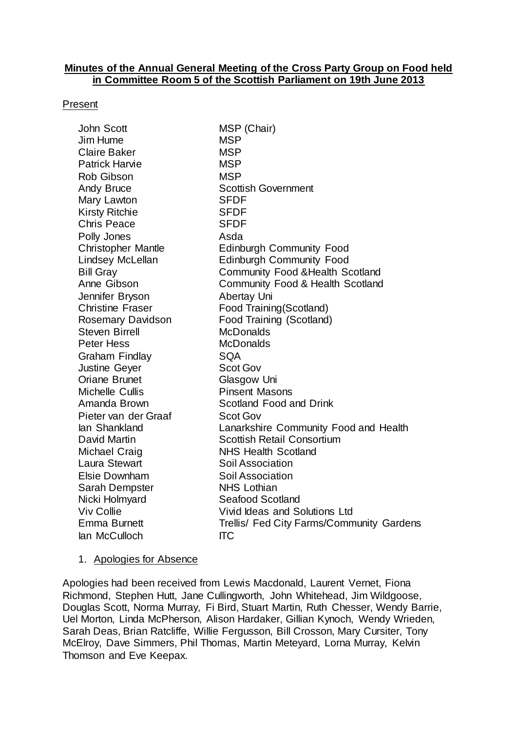#### **Minutes of the Annual General Meeting of the Cross Party Group on Food held in Committee Room 5 of the Scottish Parliament on 19th June 2013**

#### Present

| John Scott                | MSP (Chair)                                 |
|---------------------------|---------------------------------------------|
| Jim Hume                  | <b>MSP</b>                                  |
| Claire Baker              | <b>MSP</b>                                  |
| <b>Patrick Harvie</b>     | <b>MSP</b>                                  |
| <b>Rob Gibson</b>         | <b>MSP</b>                                  |
| Andy Bruce                | <b>Scottish Government</b>                  |
| Mary Lawton               | <b>SFDF</b>                                 |
| Kirsty Ritchie            | <b>SFDF</b>                                 |
| <b>Chris Peace</b>        | <b>SFDF</b>                                 |
| Polly Jones               | Asda                                        |
| <b>Christopher Mantle</b> | <b>Edinburgh Community Food</b>             |
| Lindsey McLellan          | <b>Edinburgh Community Food</b>             |
| <b>Bill Gray</b>          | <b>Community Food &amp; Health Scotland</b> |
| Anne Gibson               | Community Food & Health Scotland            |
| Jennifer Bryson           | Abertay Uni                                 |
| <b>Christine Fraser</b>   | Food Training (Scotland)                    |
| Rosemary Davidson         | Food Training (Scotland)                    |
| <b>Steven Birrell</b>     | <b>McDonalds</b>                            |
| Peter Hess                | <b>McDonalds</b>                            |
| Graham Findlay            | <b>SQA</b>                                  |
| Justine Geyer             | <b>Scot Gov</b>                             |
| <b>Oriane Brunet</b>      | Glasgow Uni                                 |
| Michelle Cullis           | <b>Pinsent Masons</b>                       |
| Amanda Brown              | Scotland Food and Drink                     |
| Pieter van der Graaf      | <b>Scot Gov</b>                             |
| lan Shankland             | Lanarkshire Community Food and Health       |
| David Martin              | <b>Scottish Retail Consortium</b>           |
| Michael Craig             | <b>NHS Health Scotland</b>                  |
| Laura Stewart             | Soil Association                            |
| <b>Elsie Downham</b>      | Soil Association                            |
| Sarah Dempster            | <b>NHS Lothian</b>                          |
| Nicki Holmyard            | <b>Seafood Scotland</b>                     |
| <b>Viv Collie</b>         | Vivid Ideas and Solutions Ltd               |
| Emma Burnett              | Trellis/ Fed City Farms/Community Gardens   |
| lan McCulloch             | IТC                                         |

#### 1. Apologies for Absence

Apologies had been received from Lewis Macdonald, Laurent Vernet, Fiona Richmond, Stephen Hutt, Jane Cullingworth, John Whitehead, Jim Wildgoose, Douglas Scott, Norma Murray, Fi Bird, Stuart Martin, Ruth Chesser, Wendy Barrie, Uel Morton, Linda McPherson, Alison Hardaker, Gillian Kynoch, Wendy Wrieden, Sarah Deas, Brian Ratcliffe, Willie Fergusson, Bill Crosson, Mary Cursiter, Tony McElroy, Dave Simmers, Phil Thomas, Martin Meteyard, Lorna Murray, Kelvin Thomson and Eve Keepax.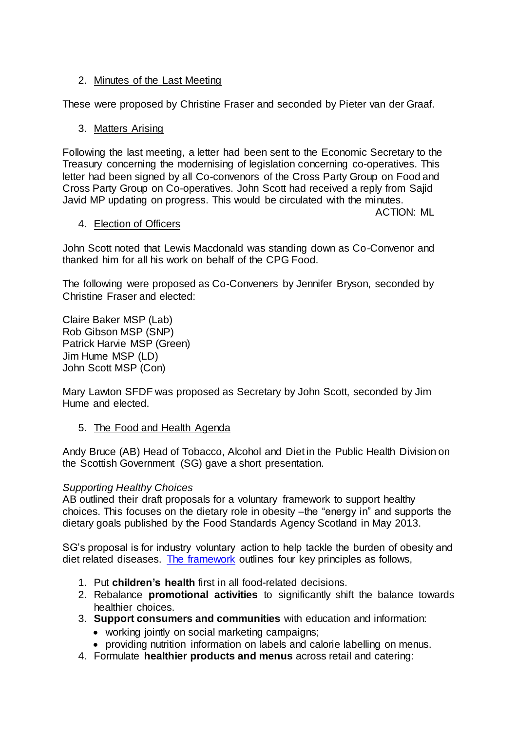# 2. Minutes of the Last Meeting

These were proposed by Christine Fraser and seconded by Pieter van der Graaf.

# 3. Matters Arising

Following the last meeting, a letter had been sent to the Economic Secretary to the Treasury concerning the modernising of legislation concerning co-operatives. This letter had been signed by all Co-convenors of the Cross Party Group on Food and Cross Party Group on Co-operatives. John Scott had received a reply from Sajid Javid MP updating on progress. This would be circulated with the minutes.

ACTION: ML

# 4. Election of Officers

John Scott noted that Lewis Macdonald was standing down as Co-Convenor and thanked him for all his work on behalf of the CPG Food.

The following were proposed as Co-Conveners by Jennifer Bryson, seconded by Christine Fraser and elected:

Claire Baker MSP (Lab) Rob Gibson MSP (SNP) Patrick Harvie MSP (Green) Jim Hume MSP (LD) John Scott MSP (Con)

Mary Lawton SFDF was proposed as Secretary by John Scott, seconded by Jim Hume and elected.

5. The Food and Health Agenda

Andy Bruce (AB) Head of Tobacco, Alcohol and Diet in the Public Health Division on the Scottish Government (SG) gave a short presentation.

### *Supporting Healthy Choices*

AB outlined their draft proposals for a voluntary framework to support healthy choices. This focuses on the dietary role in obesity –the "energy in" and supports the dietary goals published by the Food Standards Agency Scotland in May 2013.

SG's proposal is for industry voluntary action to help tackle the burden of obesity and diet related diseases. [The framework](http://www.scotland.gov.uk/Resource/0042/00422516.pdf) outlines four key principles as follows,

- 1. Put **children's health** first in all food-related decisions.
- 2. Rebalance **promotional activities** to significantly shift the balance towards healthier choices.
- 3. **Support consumers and communities** with education and information:
	- working jointly on social marketing campaigns;
	- providing nutrition information on labels and calorie labelling on menus.
- 4. Formulate **healthier products and menus** across retail and catering: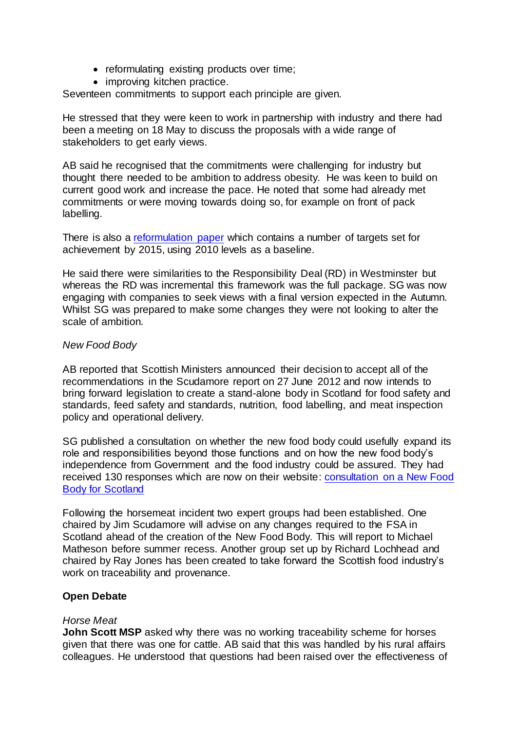- reformulating existing products over time;
- improving kitchen practice.

Seventeen commitments to support each principle are given.

He stressed that they were keen to work in partnership with industry and there had been a meeting on 18 May to discuss the proposals with a wide range of stakeholders to get early views.

AB said he recognised that the commitments were challenging for industry but thought there needed to be ambition to address obesity. He was keen to build on current good work and increase the pace. He noted that some had already met commitments or were moving towards doing so, for example on front of pack labelling.

There is also a [reformulation paper](http://www.scotland.gov.uk/Resource/0042/00422515.pdf) which contains a number of targets set for achievement by 2015, using 2010 levels as a baseline.

He said there were similarities to the Responsibility Deal (RD) in Westminster but whereas the RD was incremental this framework was the full package. SG was now engaging with companies to seek views with a final version expected in the Autumn. Whilst SG was prepared to make some changes they were not looking to alter the scale of ambition.

### *New Food Body*

AB reported that Scottish Ministers announced their decision to accept all of the recommendations in the Scudamore report on 27 June 2012 and now intends to bring forward legislation to create a stand-alone body in Scotland for food safety and standards, feed safety and standards, nutrition, food labelling, and meat inspection policy and operational delivery.

SG published a consultation on whether the new food body could usefully expand its role and responsibilities beyond those functions and on how the new food body's independence from Government and the food industry could be assured. They had received 130 responses which are now on their website: [consultation on a New Food](http://www.scotland.gov.uk/Publications/2013/06/2735)  [Body for Scotland](http://www.scotland.gov.uk/Publications/2013/06/2735)

Following the horsemeat incident two expert groups had been established. One chaired by Jim Scudamore will advise on any changes required to the FSA in Scotland ahead of the creation of the New Food Body. This will report to Michael Matheson before summer recess. Another group set up by Richard Lochhead and chaired by Ray Jones has been created to take forward the Scottish food industry's work on traceability and provenance.

### **Open Debate**

#### *Horse Meat*

**John Scott MSP** asked why there was no working traceability scheme for horses given that there was one for cattle. AB said that this was handled by his rural affairs colleagues. He understood that questions had been raised over the effectiveness of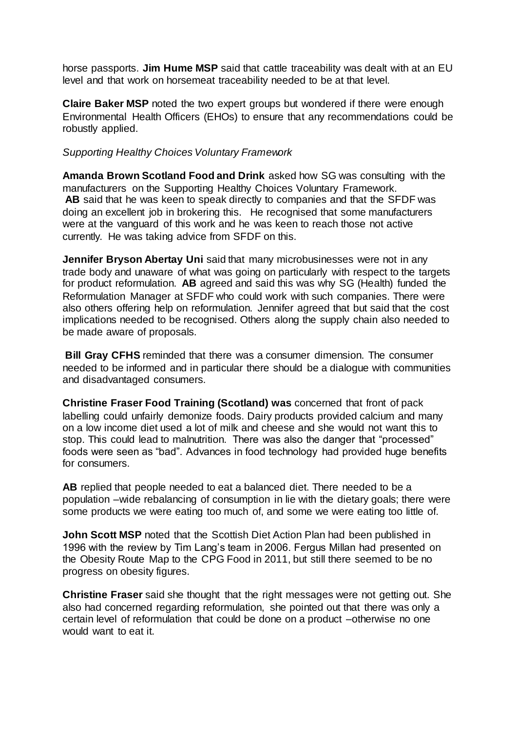horse passports. **Jim Hume MSP** said that cattle traceability was dealt with at an EU level and that work on horsemeat traceability needed to be at that level.

**Claire Baker MSP** noted the two expert groups but wondered if there were enough Environmental Health Officers (EHOs) to ensure that any recommendations could be robustly applied.

### *Supporting Healthy Choices Voluntary Framework*

**Amanda Brown Scotland Food and Drink** asked how SG was consulting with the manufacturers on the Supporting Healthy Choices Voluntary Framework. **AB** said that he was keen to speak directly to companies and that the SFDF was doing an excellent job in brokering this. He recognised that some manufacturers were at the vanguard of this work and he was keen to reach those not active currently. He was taking advice from SFDF on this.

**Jennifer Bryson Abertay Uni** said that many microbusinesses were not in any trade body and unaware of what was going on particularly with respect to the targets for product reformulation. **AB** agreed and said this was why SG (Health) funded the Reformulation Manager at SFDF who could work with such companies. There were also others offering help on reformulation. Jennifer agreed that but said that the cost implications needed to be recognised. Others along the supply chain also needed to be made aware of proposals.

**Bill Gray CFHS** reminded that there was a consumer dimension. The consumer needed to be informed and in particular there should be a dialogue with communities and disadvantaged consumers.

**Christine Fraser Food Training (Scotland) was** concerned that front of pack labelling could unfairly demonize foods. Dairy products provided calcium and many on a low income diet used a lot of milk and cheese and she would not want this to stop. This could lead to malnutrition. There was also the danger that "processed" foods were seen as "bad". Advances in food technology had provided huge benefits for consumers.

**AB** replied that people needed to eat a balanced diet. There needed to be a population –wide rebalancing of consumption in lie with the dietary goals; there were some products we were eating too much of, and some we were eating too little of.

**John Scott MSP** noted that the Scottish Diet Action Plan had been published in 1996 with the review by Tim Lang's team in 2006. Fergus Millan had presented on the Obesity Route Map to the CPG Food in 2011, but still there seemed to be no progress on obesity figures.

**Christine Fraser** said she thought that the right messages were not getting out. She also had concerned regarding reformulation, she pointed out that there was only a certain level of reformulation that could be done on a product –otherwise no one would want to eat it.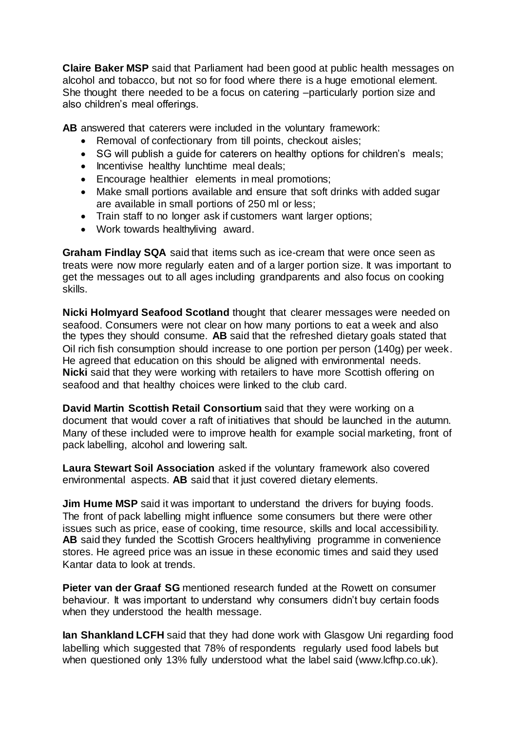**Claire Baker MSP** said that Parliament had been good at public health messages on alcohol and tobacco, but not so for food where there is a huge emotional element. She thought there needed to be a focus on catering –particularly portion size and also children's meal offerings.

**AB** answered that caterers were included in the voluntary framework:

- Removal of confectionary from till points, checkout aisles;
- SG will publish a guide for caterers on healthy options for children's meals;
- Incentivise healthy lunchtime meal deals;
- Encourage healthier elements in meal promotions;
- Make small portions available and ensure that soft drinks with added sugar are available in small portions of 250 ml or less;
- Train staff to no longer ask if customers want larger options;
- Work towards healthyliving award.

**Graham Findlay SQA** said that items such as ice-cream that were once seen as treats were now more regularly eaten and of a larger portion size. It was important to get the messages out to all ages including grandparents and also focus on cooking skills.

**Nicki Holmyard Seafood Scotland** thought that clearer messages were needed on seafood. Consumers were not clear on how many portions to eat a week and also the types they should consume. **AB** said that the refreshed dietary goals stated that Oil rich fish consumption should increase to one portion per person (140g) per week. He agreed that education on this should be aligned with environmental needs. **Nicki** said that they were working with retailers to have more Scottish offering on seafood and that healthy choices were linked to the club card.

**David Martin Scottish Retail Consortium** said that they were working on a document that would cover a raft of initiatives that should be launched in the autumn. Many of these included were to improve health for example social marketing, front of pack labelling, alcohol and lowering salt.

**Laura Stewart Soil Association** asked if the voluntary framework also covered environmental aspects. **AB** said that it just covered dietary elements.

**Jim Hume MSP** said it was important to understand the drivers for buying foods. The front of pack labelling might influence some consumers but there were other issues such as price, ease of cooking, time resource, skills and local accessibility. **AB** said they funded the Scottish Grocers healthyliving programme in convenience stores. He agreed price was an issue in these economic times and said they used Kantar data to look at trends.

**Pieter van der Graaf SG** mentioned research funded at the Rowett on consumer behaviour. It was important to understand why consumers didn't buy certain foods when they understood the health message.

**Ian Shankland LCFH** said that they had done work with Glasgow Uni regarding food labelling which suggested that 78% of respondents regularly used food labels but when questioned only 13% fully understood what the label said [\(www.lcfhp.co.uk\).](http://www.lcfhp.co.uk/)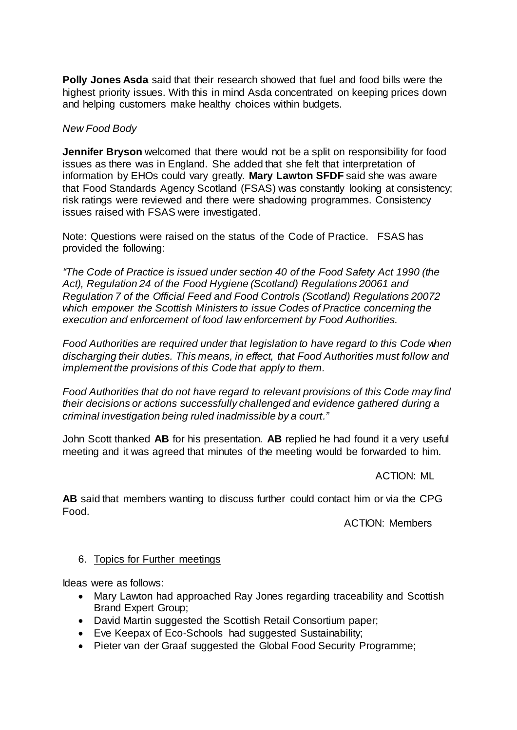**Polly Jones Asda** said that their research showed that fuel and food bills were the highest priority issues. With this in mind Asda concentrated on keeping prices down and helping customers make healthy choices within budgets.

## *New Food Body*

**Jennifer Bryson** welcomed that there would not be a split on responsibility for food issues as there was in England. She added that she felt that interpretation of information by EHOs could vary greatly. **Mary Lawton SFDF** said she was aware that Food Standards Agency Scotland (FSAS) was constantly looking at consistency; risk ratings were reviewed and there were shadowing programmes. Consistency issues raised with FSAS were investigated.

Note: Questions were raised on the status of the Code of Practice. FSAS has provided the following:

*"The Code of Practice is issued under section 40 of the Food Safety Act 1990 (the Act), Regulation 24 of the Food Hygiene (Scotland) Regulations 20061 and Regulation 7 of the Official Feed and Food Controls (Scotland) Regulations 20072 which empower the Scottish Ministers to issue Codes of Practice concerning the execution and enforcement of food law enforcement by Food Authorities.* 

*Food Authorities are required under that legislation to have regard to this Code when discharging their duties. This means, in effect, that Food Authorities must follow and implement the provisions of this Code that apply to them.*

*Food Authorities that do not have regard to relevant provisions of this Code may find their decisions or actions successfully challenged and evidence gathered during a criminal investigation being ruled inadmissible by a court."*

John Scott thanked **AB** for his presentation. **AB** replied he had found it a very useful meeting and it was agreed that minutes of the meeting would be forwarded to him.

ACTION: ML

**AB** said that members wanting to discuss further could contact him or via the CPG Food.

ACTION: Members

### 6. Topics for Further meetings

Ideas were as follows:

- Mary Lawton had approached Ray Jones regarding traceability and Scottish Brand Expert Group;
- David Martin suggested the Scottish Retail Consortium paper;
- Eve Keepax of Eco-Schools had suggested Sustainability;
- Pieter van der Graaf suggested the Global Food Security Programme;